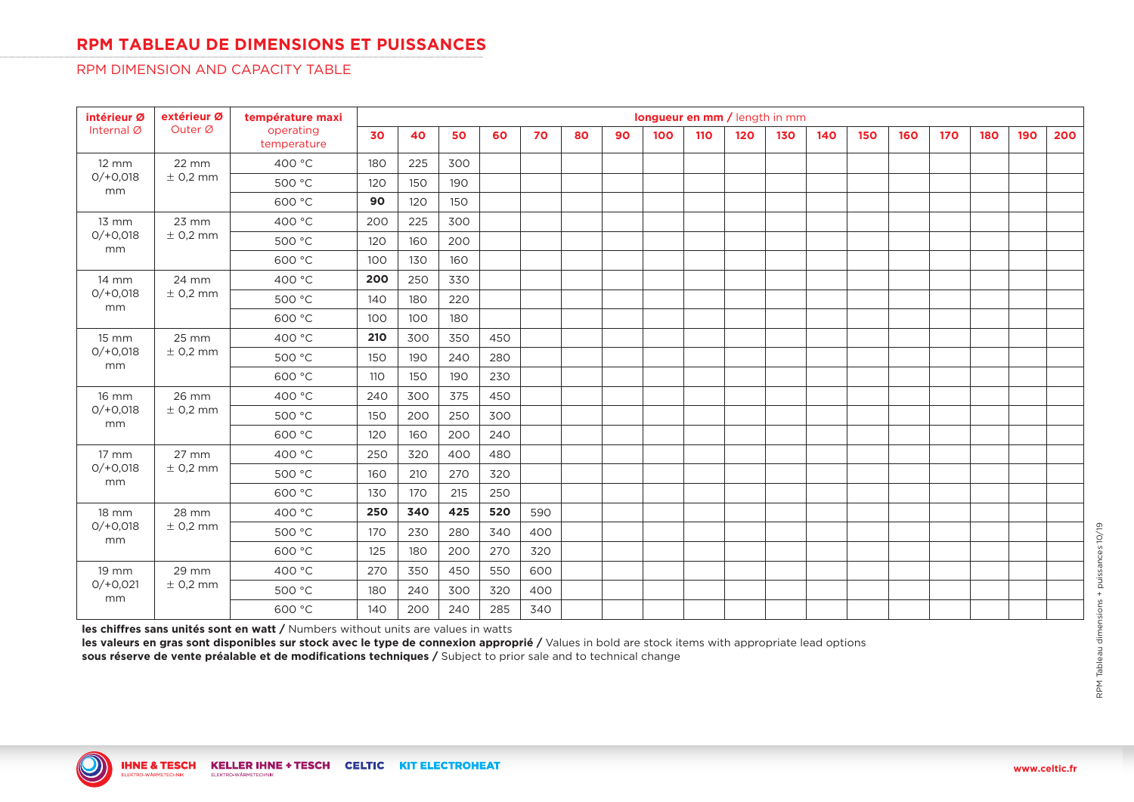# **RPM TABLEAU DE DIMENSIONS ET PUISSANCES**

### RPM DIMENSION AND CAPACITY TABLE

| intérieur Ø                             | extérieur Ø           | température maxi         |     |     |     |     |     |    |    | longueur en mm / length in mm |     |     |     |     |     |     |     |     |     |     |
|-----------------------------------------|-----------------------|--------------------------|-----|-----|-----|-----|-----|----|----|-------------------------------|-----|-----|-----|-----|-----|-----|-----|-----|-----|-----|
| Internal Ø                              | Outer Ø               | operating<br>temperature | 30  | 40  | 50  | 60  | 70  | 80 | 90 | 100                           | 110 | 120 | 130 | 140 | 150 | 160 | 170 | 180 | 190 | 200 |
| $12 \, \text{mm}$                       | 22 mm                 | 400 °C                   | 180 | 225 | 300 |     |     |    |    |                               |     |     |     |     |     |     |     |     |     |     |
| $O/ + O, O18$<br>mm                     | $±$ 0,2 mm            | 500 °C                   | 120 | 150 | 190 |     |     |    |    |                               |     |     |     |     |     |     |     |     |     |     |
|                                         |                       | 600 °C                   | 90  | 120 | 150 |     |     |    |    |                               |     |     |     |     |     |     |     |     |     |     |
| 13 mm                                   | 23 mm                 | 400 °C                   | 200 | 225 | 300 |     |     |    |    |                               |     |     |     |     |     |     |     |     |     |     |
| $0/+0,018$                              | $±$ 0,2 mm            | 500 °C                   | 120 | 160 | 200 |     |     |    |    |                               |     |     |     |     |     |     |     |     |     |     |
| mm                                      |                       | 600 °C                   | 100 | 130 | 160 |     |     |    |    |                               |     |     |     |     |     |     |     |     |     |     |
| 14 mm                                   | 24 mm<br>$±$ 0,2 mm   | 400 °C                   | 200 | 250 | 330 |     |     |    |    |                               |     |     |     |     |     |     |     |     |     |     |
| $O/ + O, O18$<br>mm                     |                       | 500 °C                   | 140 | 180 | 220 |     |     |    |    |                               |     |     |     |     |     |     |     |     |     |     |
|                                         |                       | 600 °C                   | 100 | 100 | 180 |     |     |    |    |                               |     |     |     |     |     |     |     |     |     |     |
| $15 \, \text{mm}$<br>$O/ + O.018$<br>mm | 25 mm<br>$\pm$ 0,2 mm | 400 °C                   | 210 | 300 | 350 | 450 |     |    |    |                               |     |     |     |     |     |     |     |     |     |     |
|                                         |                       | 500 °C                   | 150 | 190 | 240 | 280 |     |    |    |                               |     |     |     |     |     |     |     |     |     |     |
|                                         |                       | 600 °C                   | 110 | 150 | 190 | 230 |     |    |    |                               |     |     |     |     |     |     |     |     |     |     |
| 16 mm                                   | 26 mm<br>$±$ 0,2 mm   | 400 °C                   | 240 | 300 | 375 | 450 |     |    |    |                               |     |     |     |     |     |     |     |     |     |     |
| $O/ + O, O18$<br>mm                     |                       | 500 °C                   | 150 | 200 | 250 | 300 |     |    |    |                               |     |     |     |     |     |     |     |     |     |     |
|                                         |                       | 600 °C                   | 120 | 160 | 200 | 240 |     |    |    |                               |     |     |     |     |     |     |     |     |     |     |
| $17 \text{ mm}$                         | 27 mm<br>$±$ 0,2 mm   | 400 °C                   | 250 | 320 | 400 | 480 |     |    |    |                               |     |     |     |     |     |     |     |     |     |     |
| $0/+0,018$<br>mm                        |                       | 500 °C                   | 160 | 210 | 270 | 320 |     |    |    |                               |     |     |     |     |     |     |     |     |     |     |
|                                         |                       | 600 °C                   | 130 | 170 | 215 | 250 |     |    |    |                               |     |     |     |     |     |     |     |     |     |     |
| $18 \, \text{mm}$                       | 28 mm                 | 400 °C                   | 250 | 340 | 425 | 520 | 590 |    |    |                               |     |     |     |     |     |     |     |     |     |     |
| $0/+0,018$<br>mm                        | $±$ 0,2 mm            | 500 °C                   | 170 | 230 | 280 | 340 | 400 |    |    |                               |     |     |     |     |     |     |     |     |     |     |
|                                         |                       | 600 °C                   | 125 | 180 | 200 | 270 | 320 |    |    |                               |     |     |     |     |     |     |     |     |     |     |
| 19 mm                                   | 29 mm                 | 400 °C                   | 270 | 350 | 450 | 550 | 600 |    |    |                               |     |     |     |     |     |     |     |     |     |     |
| $O/ + O, O21$                           | $±$ 0,2 mm            | 500 °C                   | 180 | 240 | 300 | 320 | 400 |    |    |                               |     |     |     |     |     |     |     |     |     |     |
| mm                                      |                       | 600 °C                   | 140 | 200 | 240 | 285 | 340 |    |    |                               |     |     |     |     |     |     |     |     |     |     |

**les chiffres sans unités sont en watt /** Numbers without units are values in watts

**les valeurs en gras sont disponibles sur stock avec le type de connexion approprié /** Values in bold are stock items with appropriate lead options **sous réserve de vente préalable et de modifications techniques /** Subject to prior sale and to technical change

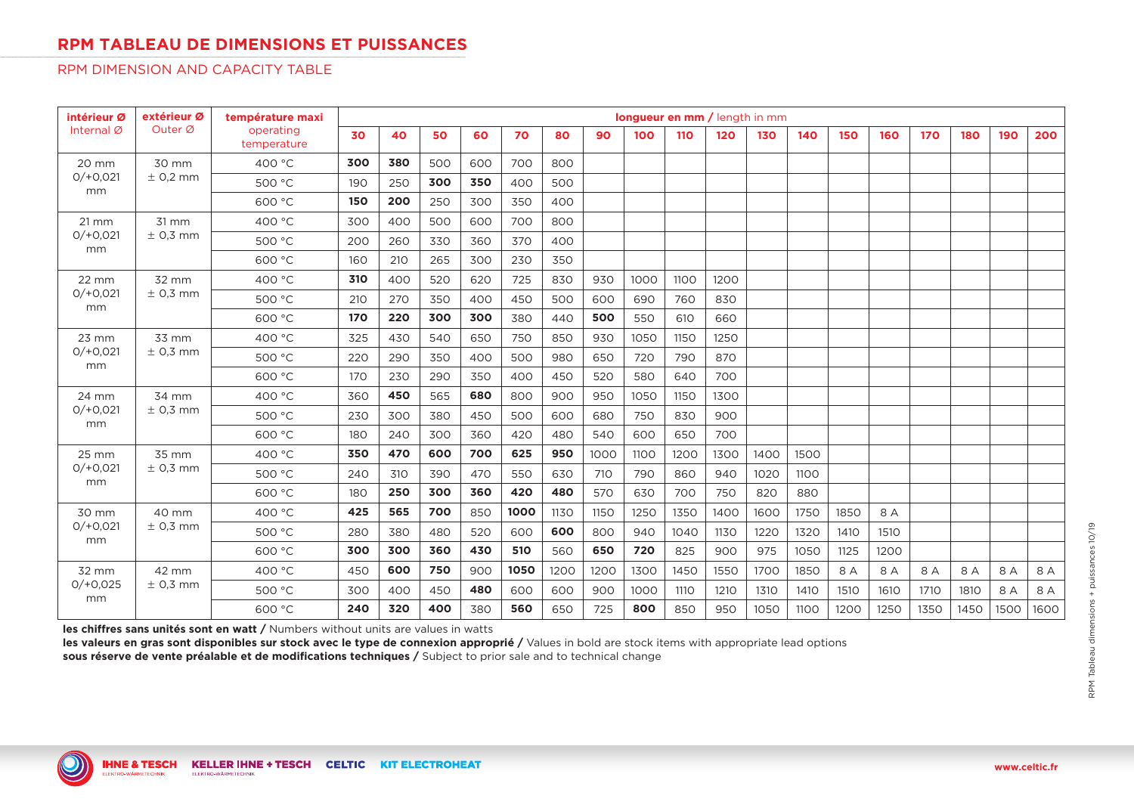## **RPM TABLEAU DE DIMENSIONS ET PUISSANCES**

### RPM DIMENSION AND CAPACITY TABLE

| intérieur Ø             | extérieur Ø           | température maxi         |     |     |     |     |      |      |      | longueur en mm / length in mm |      |      |      |      |      |      |            |      |      |      |
|-------------------------|-----------------------|--------------------------|-----|-----|-----|-----|------|------|------|-------------------------------|------|------|------|------|------|------|------------|------|------|------|
| Internal Ø              | Outer Ø               | operating<br>temperature | 30  | 40  | 50  | 60  | 70   | 80   | 90   | 100                           | 110  | 120  | 130  | 140  | 150  | 160  | <b>170</b> | 180  | 190  | 200  |
| 20 mm                   | 30 mm                 | 400 °C                   | 300 | 380 | 500 | 600 | 700  | 800  |      |                               |      |      |      |      |      |      |            |      |      |      |
| $O/ + O, O21$<br>mm     | $\pm$ 0,2 mm          | 500 °C                   | 190 | 250 | 300 | 350 | 400  | 500  |      |                               |      |      |      |      |      |      |            |      |      |      |
|                         |                       | 600 °C                   | 150 | 200 | 250 | 300 | 350  | 400  |      |                               |      |      |      |      |      |      |            |      |      |      |
| $21 \, \text{mm}$       | 31 mm                 | 400 °C                   | 300 | 400 | 500 | 600 | 700  | 800  |      |                               |      |      |      |      |      |      |            |      |      |      |
| $O/ + O.021$            | $\pm$ 0.3 mm          | 500 °C                   | 200 | 260 | 330 | 360 | 370  | 400  |      |                               |      |      |      |      |      |      |            |      |      |      |
| mm                      |                       | 600 °C                   | 160 | 210 | 265 | 300 | 230  | 350  |      |                               |      |      |      |      |      |      |            |      |      |      |
| 22 mm                   | 32 mm<br>$\pm$ 0.3 mm | 400 °C                   | 310 | 400 | 520 | 620 | 725  | 830  | 930  | 1000                          | 1100 | 1200 |      |      |      |      |            |      |      |      |
| $O/ + O.021$<br>mm      |                       | 500 °C                   | 210 | 270 | 350 | 400 | 450  | 500  | 600  | 690                           | 760  | 830  |      |      |      |      |            |      |      |      |
|                         |                       | 600 °C                   | 170 | 220 | 300 | 300 | 380  | 440  | 500  | 550                           | 610  | 660  |      |      |      |      |            |      |      |      |
| $23$ mm<br>$O/ + O.021$ | 33 mm<br>$\pm$ 0.3 mm | 400 °C                   | 325 | 430 | 540 | 650 | 750  | 850  | 930  | 1050                          | 1150 | 1250 |      |      |      |      |            |      |      |      |
|                         |                       | 500 °C                   | 220 | 290 | 350 | 400 | 500  | 980  | 650  | 720                           | 790  | 870  |      |      |      |      |            |      |      |      |
| mm                      |                       | 600 °C                   | 170 | 230 | 290 | 350 | 400  | 450  | 520  | 580                           | 640  | 700  |      |      |      |      |            |      |      |      |
| 24 mm                   | 34 mm<br>$\pm$ 0,3 mm | 400 °C                   | 360 | 450 | 565 | 680 | 800  | 900  | 950  | 1050                          | 1150 | 1300 |      |      |      |      |            |      |      |      |
| $O/ + O.021$<br>mm      |                       | 500 °C                   | 230 | 300 | 380 | 450 | 500  | 600  | 680  | 750                           | 830  | 900  |      |      |      |      |            |      |      |      |
|                         |                       | 600 °C                   | 180 | 240 | 300 | 360 | 420  | 480  | 540  | 600                           | 650  | 700  |      |      |      |      |            |      |      |      |
| 25 mm                   | 35 mm<br>$±$ 0,3 mm   | 400 °C                   | 350 | 470 | 600 | 700 | 625  | 950  | 1000 | 1100                          | 1200 | 1300 | 1400 | 1500 |      |      |            |      |      |      |
| $O/ + O.021$<br>mm      |                       | 500 °C                   | 240 | 310 | 390 | 470 | 550  | 630  | 710  | 790                           | 860  | 940  | 1020 | 1100 |      |      |            |      |      |      |
|                         |                       | 600 °C                   | 180 | 250 | 300 | 360 | 420  | 480  | 570  | 630                           | 700  | 750  | 820  | 880  |      |      |            |      |      |      |
| 30 mm                   | 40 mm                 | 400 °C                   | 425 | 565 | 700 | 850 | 1000 | 1130 | 1150 | 1250                          | 1350 | 1400 | 1600 | 1750 | 1850 | 8 A  |            |      |      |      |
| $O/ + O, O21$           | $\pm$ 0,3 mm          | 500 °C                   | 280 | 380 | 480 | 520 | 600  | 600  | 800  | 940                           | 1040 | 1130 | 1220 | 1320 | 1410 | 1510 |            |      |      |      |
| mm                      |                       | 600 °C                   | 300 | 300 | 360 | 430 | 510  | 560  | 650  | 720                           | 825  | 900  | 975  | 1050 | 1125 | 1200 |            |      |      |      |
| 32 mm                   | 42 mm                 | 400 °C                   | 450 | 600 | 750 | 900 | 1050 | 1200 | 1200 | 1300                          | 1450 | 1550 | 1700 | 1850 | 8 A  | 8 A  | 8 A        | 8 A  | 8 A  | 8 A  |
| $0/+0.025$<br>mm        | $\pm$ 0,3 mm          | 500 °C                   | 300 | 400 | 450 | 480 | 600  | 600  | 900  | 1000                          | 1110 | 1210 | 1310 | 1410 | 1510 | 1610 | 1710       | 1810 | 8 A  | 8 A  |
|                         |                       | 600 °C                   | 240 | 320 | 400 | 380 | 560  | 650  | 725  | 800                           | 850  | 950  | 1050 | 1100 | 1200 | 1250 | 1350       | 1450 | 1500 | 1600 |

**les chiffres sans unités sont en watt /** Numbers without units are values in watts

**les valeurs en gras sont disponibles sur stock avec le type de connexion approprié /** Values in bold are stock items with appropriate lead options **sous réserve de vente préalable et de modifications techniques /** Subject to prior sale and to technical change